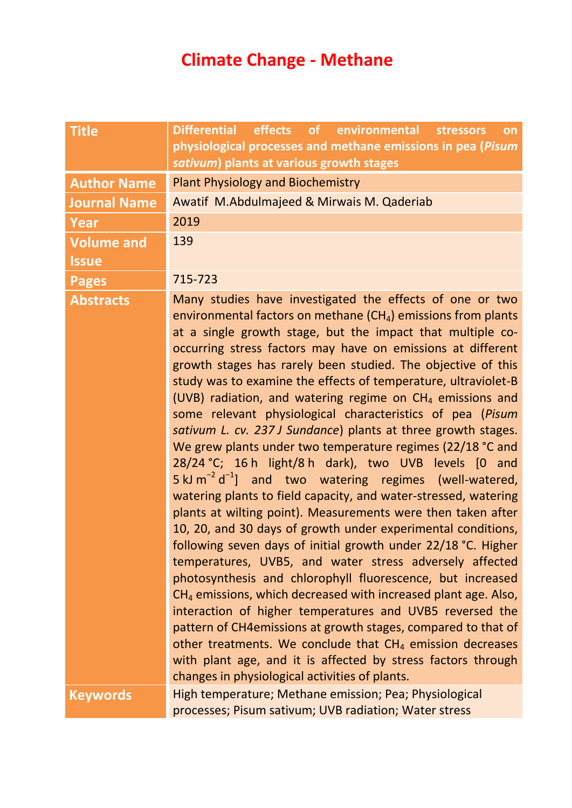## **Climate Change - Methane**

| <b>Title</b>        | Differential effects of environmental stressors<br>on                                                                                                                                                                                                                                                                                                                                                                                                                                                                                                                                                                                                                                                                                                                                                                                                                                                                                                                                                                                                                                                                                                                                                                                                                                                                                                                                                                                                                                                                                                                   |  |
|---------------------|-------------------------------------------------------------------------------------------------------------------------------------------------------------------------------------------------------------------------------------------------------------------------------------------------------------------------------------------------------------------------------------------------------------------------------------------------------------------------------------------------------------------------------------------------------------------------------------------------------------------------------------------------------------------------------------------------------------------------------------------------------------------------------------------------------------------------------------------------------------------------------------------------------------------------------------------------------------------------------------------------------------------------------------------------------------------------------------------------------------------------------------------------------------------------------------------------------------------------------------------------------------------------------------------------------------------------------------------------------------------------------------------------------------------------------------------------------------------------------------------------------------------------------------------------------------------------|--|
|                     | physiological processes and methane emissions in pea (Pisum                                                                                                                                                                                                                                                                                                                                                                                                                                                                                                                                                                                                                                                                                                                                                                                                                                                                                                                                                                                                                                                                                                                                                                                                                                                                                                                                                                                                                                                                                                             |  |
|                     | sativum) plants at various growth stages                                                                                                                                                                                                                                                                                                                                                                                                                                                                                                                                                                                                                                                                                                                                                                                                                                                                                                                                                                                                                                                                                                                                                                                                                                                                                                                                                                                                                                                                                                                                |  |
| <b>Author Name</b>  | <b>Plant Physiology and Biochemistry</b>                                                                                                                                                                                                                                                                                                                                                                                                                                                                                                                                                                                                                                                                                                                                                                                                                                                                                                                                                                                                                                                                                                                                                                                                                                                                                                                                                                                                                                                                                                                                |  |
| <b>Journal Name</b> | Awatif M.Abdulmajeed & Mirwais M. Qaderiab                                                                                                                                                                                                                                                                                                                                                                                                                                                                                                                                                                                                                                                                                                                                                                                                                                                                                                                                                                                                                                                                                                                                                                                                                                                                                                                                                                                                                                                                                                                              |  |
| Year                | 2019                                                                                                                                                                                                                                                                                                                                                                                                                                                                                                                                                                                                                                                                                                                                                                                                                                                                                                                                                                                                                                                                                                                                                                                                                                                                                                                                                                                                                                                                                                                                                                    |  |
| <b>Volume and</b>   | 139                                                                                                                                                                                                                                                                                                                                                                                                                                                                                                                                                                                                                                                                                                                                                                                                                                                                                                                                                                                                                                                                                                                                                                                                                                                                                                                                                                                                                                                                                                                                                                     |  |
| <b>Issue</b>        |                                                                                                                                                                                                                                                                                                                                                                                                                                                                                                                                                                                                                                                                                                                                                                                                                                                                                                                                                                                                                                                                                                                                                                                                                                                                                                                                                                                                                                                                                                                                                                         |  |
| <b>Pages</b>        | 715-723                                                                                                                                                                                                                                                                                                                                                                                                                                                                                                                                                                                                                                                                                                                                                                                                                                                                                                                                                                                                                                                                                                                                                                                                                                                                                                                                                                                                                                                                                                                                                                 |  |
| <b>Abstracts</b>    | Many studies have investigated the effects of one or two<br>environmental factors on methane $(CH_4)$ emissions from plants<br>at a single growth stage, but the impact that multiple co-<br>occurring stress factors may have on emissions at different<br>growth stages has rarely been studied. The objective of this<br>study was to examine the effects of temperature, ultraviolet-B<br>(UVB) radiation, and watering regime on $CH4$ emissions and<br>some relevant physiological characteristics of pea (Pisum<br>sativum L. cv. 237 J Sundance) plants at three growth stages.<br>We grew plants under two temperature regimes (22/18 °C and<br>28/24 °C; 16 h light/8 h dark), two UVB levels [0 and<br>$5 \text{ kJ m}^{-2} d^{-1}$ ] and two watering regimes (well-watered,<br>watering plants to field capacity, and water-stressed, watering<br>plants at wilting point). Measurements were then taken after<br>10, 20, and 30 days of growth under experimental conditions,<br>following seven days of initial growth under 22/18 °C. Higher<br>temperatures, UVB5, and water stress adversely affected<br>photosynthesis and chlorophyll fluorescence, but increased<br>$CH4$ emissions, which decreased with increased plant age. Also,<br>interaction of higher temperatures and UVB5 reversed the<br>pattern of CH4emissions at growth stages, compared to that of<br>other treatments. We conclude that $CH4$ emission decreases<br>with plant age, and it is affected by stress factors through<br>changes in physiological activities of plants. |  |
| <b>Keywords</b>     | High temperature; Methane emission; Pea; Physiological<br>processes; Pisum sativum; UVB radiation; Water stress                                                                                                                                                                                                                                                                                                                                                                                                                                                                                                                                                                                                                                                                                                                                                                                                                                                                                                                                                                                                                                                                                                                                                                                                                                                                                                                                                                                                                                                         |  |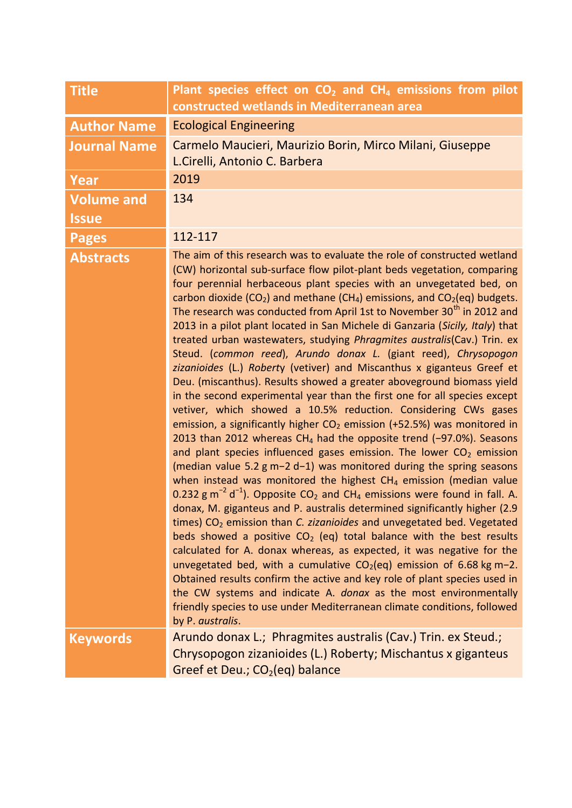| <b>Title</b>                      | Plant species effect on $CO2$ and $CH4$ emissions from pilot<br>constructed wetlands in Mediterranean area                                                                                                                                                                                                                                                                                                                                                                                                                                                                                                                                                                                                                                                                                                                                                                                                                                                                                                                                                                                                                                                                                                                                                                                                                                                                                                                                                                                                                                                                                                                                                                                                                                                                                                                                                                                                                                                                                                                                                                                                            |  |
|-----------------------------------|-----------------------------------------------------------------------------------------------------------------------------------------------------------------------------------------------------------------------------------------------------------------------------------------------------------------------------------------------------------------------------------------------------------------------------------------------------------------------------------------------------------------------------------------------------------------------------------------------------------------------------------------------------------------------------------------------------------------------------------------------------------------------------------------------------------------------------------------------------------------------------------------------------------------------------------------------------------------------------------------------------------------------------------------------------------------------------------------------------------------------------------------------------------------------------------------------------------------------------------------------------------------------------------------------------------------------------------------------------------------------------------------------------------------------------------------------------------------------------------------------------------------------------------------------------------------------------------------------------------------------------------------------------------------------------------------------------------------------------------------------------------------------------------------------------------------------------------------------------------------------------------------------------------------------------------------------------------------------------------------------------------------------------------------------------------------------------------------------------------------------|--|
| <b>Author Name</b>                | <b>Ecological Engineering</b>                                                                                                                                                                                                                                                                                                                                                                                                                                                                                                                                                                                                                                                                                                                                                                                                                                                                                                                                                                                                                                                                                                                                                                                                                                                                                                                                                                                                                                                                                                                                                                                                                                                                                                                                                                                                                                                                                                                                                                                                                                                                                         |  |
| <b>Journal Name</b>               | Carmelo Maucieri, Maurizio Borin, Mirco Milani, Giuseppe<br>L.Cirelli, Antonio C. Barbera                                                                                                                                                                                                                                                                                                                                                                                                                                                                                                                                                                                                                                                                                                                                                                                                                                                                                                                                                                                                                                                                                                                                                                                                                                                                                                                                                                                                                                                                                                                                                                                                                                                                                                                                                                                                                                                                                                                                                                                                                             |  |
| Year                              | 2019                                                                                                                                                                                                                                                                                                                                                                                                                                                                                                                                                                                                                                                                                                                                                                                                                                                                                                                                                                                                                                                                                                                                                                                                                                                                                                                                                                                                                                                                                                                                                                                                                                                                                                                                                                                                                                                                                                                                                                                                                                                                                                                  |  |
| <b>Volume and</b><br><b>Issue</b> | 134                                                                                                                                                                                                                                                                                                                                                                                                                                                                                                                                                                                                                                                                                                                                                                                                                                                                                                                                                                                                                                                                                                                                                                                                                                                                                                                                                                                                                                                                                                                                                                                                                                                                                                                                                                                                                                                                                                                                                                                                                                                                                                                   |  |
| <b>Pages</b>                      | 112-117                                                                                                                                                                                                                                                                                                                                                                                                                                                                                                                                                                                                                                                                                                                                                                                                                                                                                                                                                                                                                                                                                                                                                                                                                                                                                                                                                                                                                                                                                                                                                                                                                                                                                                                                                                                                                                                                                                                                                                                                                                                                                                               |  |
| <b>Abstracts</b>                  | The aim of this research was to evaluate the role of constructed wetland<br>(CW) horizontal sub-surface flow pilot-plant beds vegetation, comparing<br>four perennial herbaceous plant species with an unvegetated bed, on<br>carbon dioxide (CO <sub>2</sub> ) and methane (CH <sub>4</sub> ) emissions, and CO <sub>2</sub> (eq) budgets.<br>The research was conducted from April 1st to November 30 <sup>th</sup> in 2012 and<br>2013 in a pilot plant located in San Michele di Ganzaria (Sicily, Italy) that<br>treated urban wastewaters, studying Phragmites australis(Cav.) Trin. ex<br>Steud. (common reed), Arundo donax L. (giant reed), Chrysopogon<br>zizanioides (L.) Roberty (vetiver) and Miscanthus x giganteus Greef et<br>Deu. (miscanthus). Results showed a greater aboveground biomass yield<br>in the second experimental year than the first one for all species except<br>vetiver, which showed a 10.5% reduction. Considering CWs gases<br>emission, a significantly higher $CO2$ emission (+52.5%) was monitored in<br>2013 than 2012 whereas $CH_4$ had the opposite trend (-97.0%). Seasons<br>and plant species influenced gases emission. The lower $CO2$ emission<br>(median value 5.2 $g$ m-2 d-1) was monitored during the spring seasons<br>when instead was monitored the highest $CH4$ emission (median value<br>0.232 g m <sup>-2</sup> d <sup>-1</sup> ). Opposite $CO_2$ and CH <sub>4</sub> emissions were found in fall. A.<br>donax, M. giganteus and P. australis determined significantly higher (2.9<br>times) CO <sub>2</sub> emission than C. zizanioides and unvegetated bed. Vegetated<br>beds showed a positive $CO2$ (eq) total balance with the best results<br>calculated for A. donax whereas, as expected, it was negative for the<br>unvegetated bed, with a cumulative $CO2(eq)$ emission of 6.68 kg m-2.<br>Obtained results confirm the active and key role of plant species used in<br>the CW systems and indicate A. donax as the most environmentally<br>friendly species to use under Mediterranean climate conditions, followed<br>by P. australis. |  |
| <b>Keywords</b>                   | Arundo donax L.; Phragmites australis (Cav.) Trin. ex Steud.;<br>Chrysopogon zizanioides (L.) Roberty; Mischantus x giganteus<br>Greef et Deu.; $CO2(eq)$ balance                                                                                                                                                                                                                                                                                                                                                                                                                                                                                                                                                                                                                                                                                                                                                                                                                                                                                                                                                                                                                                                                                                                                                                                                                                                                                                                                                                                                                                                                                                                                                                                                                                                                                                                                                                                                                                                                                                                                                     |  |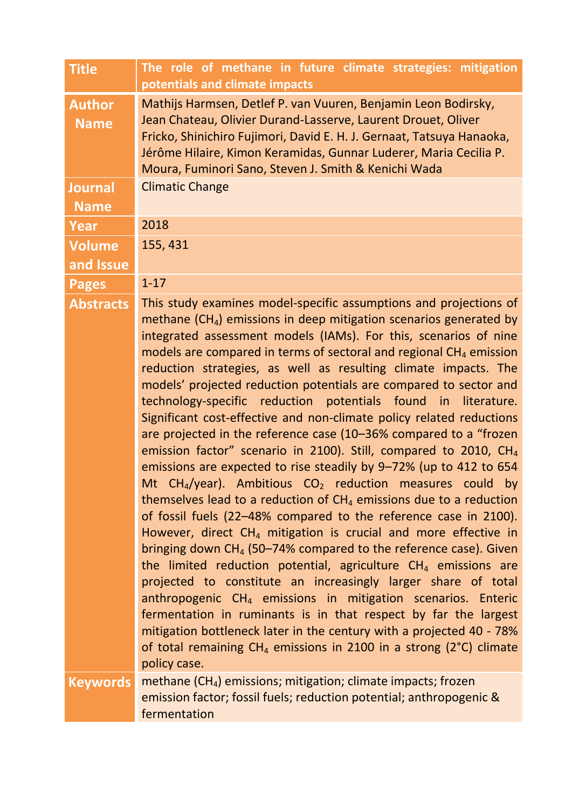| <b>Title</b>                  | The role of methane in future climate strategies: mitigation<br>potentials and climate impacts                                                                                                                                                                                                                                                                                                                                                                                                                                                                                                                                                                                                                                                                                                                                                                                                                                                                                                                                                                                                                                                                                                                                                                                                                                                                                                                                                                                                                                                                                                                              |
|-------------------------------|-----------------------------------------------------------------------------------------------------------------------------------------------------------------------------------------------------------------------------------------------------------------------------------------------------------------------------------------------------------------------------------------------------------------------------------------------------------------------------------------------------------------------------------------------------------------------------------------------------------------------------------------------------------------------------------------------------------------------------------------------------------------------------------------------------------------------------------------------------------------------------------------------------------------------------------------------------------------------------------------------------------------------------------------------------------------------------------------------------------------------------------------------------------------------------------------------------------------------------------------------------------------------------------------------------------------------------------------------------------------------------------------------------------------------------------------------------------------------------------------------------------------------------------------------------------------------------------------------------------------------------|
| <b>Author</b><br><b>Name</b>  | Mathijs Harmsen, Detlef P. van Vuuren, Benjamin Leon Bodirsky,<br>Jean Chateau, Olivier Durand-Lasserve, Laurent Drouet, Oliver<br>Fricko, Shinichiro Fujimori, David E. H. J. Gernaat, Tatsuya Hanaoka,<br>Jérôme Hilaire, Kimon Keramidas, Gunnar Luderer, Maria Cecilia P.<br>Moura, Fuminori Sano, Steven J. Smith & Kenichi Wada                                                                                                                                                                                                                                                                                                                                                                                                                                                                                                                                                                                                                                                                                                                                                                                                                                                                                                                                                                                                                                                                                                                                                                                                                                                                                       |
| <b>Journal</b><br><b>Name</b> | <b>Climatic Change</b>                                                                                                                                                                                                                                                                                                                                                                                                                                                                                                                                                                                                                                                                                                                                                                                                                                                                                                                                                                                                                                                                                                                                                                                                                                                                                                                                                                                                                                                                                                                                                                                                      |
| Year                          | 2018                                                                                                                                                                                                                                                                                                                                                                                                                                                                                                                                                                                                                                                                                                                                                                                                                                                                                                                                                                                                                                                                                                                                                                                                                                                                                                                                                                                                                                                                                                                                                                                                                        |
| <b>Volume</b>                 | 155, 431                                                                                                                                                                                                                                                                                                                                                                                                                                                                                                                                                                                                                                                                                                                                                                                                                                                                                                                                                                                                                                                                                                                                                                                                                                                                                                                                                                                                                                                                                                                                                                                                                    |
| and Issue                     |                                                                                                                                                                                                                                                                                                                                                                                                                                                                                                                                                                                                                                                                                                                                                                                                                                                                                                                                                                                                                                                                                                                                                                                                                                                                                                                                                                                                                                                                                                                                                                                                                             |
| <b>Pages</b>                  | $1 - 17$                                                                                                                                                                                                                                                                                                                                                                                                                                                                                                                                                                                                                                                                                                                                                                                                                                                                                                                                                                                                                                                                                                                                                                                                                                                                                                                                                                                                                                                                                                                                                                                                                    |
| <b>Abstracts</b>              | This study examines model-specific assumptions and projections of<br>methane $(CH4)$ emissions in deep mitigation scenarios generated by<br>integrated assessment models (IAMs). For this, scenarios of nine<br>models are compared in terms of sectoral and regional $CH4$ emission<br>reduction strategies, as well as resulting climate impacts. The<br>models' projected reduction potentials are compared to sector and<br>technology-specific reduction potentials found in<br>literature.<br>Significant cost-effective and non-climate policy related reductions<br>are projected in the reference case (10-36% compared to a "frozen<br>emission factor" scenario in 2100). Still, compared to 2010, CH <sub>4</sub><br>emissions are expected to rise steadily by 9-72% (up to 412 to 654<br>Mt CH <sub>4</sub> /year). Ambitious $CO2$ reduction measures could by<br>themselves lead to a reduction of $CH4$ emissions due to a reduction<br>of fossil fuels (22-48% compared to the reference case in 2100).<br>However, direct $CH_4$ mitigation is crucial and more effective in<br>bringing down $CH_4$ (50–74% compared to the reference case). Given<br>the limited reduction potential, agriculture $CH4$ emissions are<br>projected to constitute an increasingly larger share of total<br>anthropogenic CH <sub>4</sub> emissions in mitigation scenarios. Enteric<br>fermentation in ruminants is in that respect by far the largest<br>mitigation bottleneck later in the century with a projected 40 - 78%<br>of total remaining $CH_4$ emissions in 2100 in a strong (2°C) climate<br>policy case. |
| <b>Keywords</b>               | methane $(CH_4)$ emissions; mitigation; climate impacts; frozen<br>emission factor; fossil fuels; reduction potential; anthropogenic &<br>fermentation                                                                                                                                                                                                                                                                                                                                                                                                                                                                                                                                                                                                                                                                                                                                                                                                                                                                                                                                                                                                                                                                                                                                                                                                                                                                                                                                                                                                                                                                      |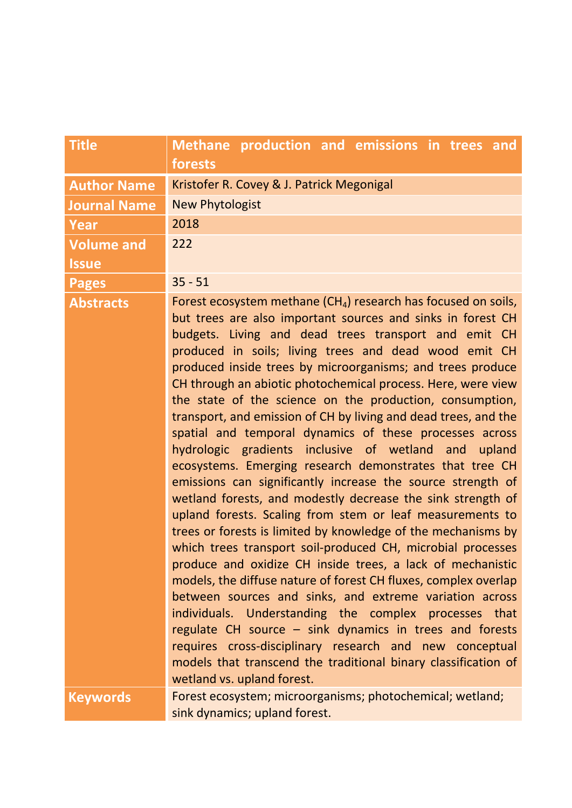| <b>Title</b>        | Methane production and emissions in trees and<br>forests                                                                                                                                                                                                                                                                                                                                                                                                                                                                                                                                                                                                                                                                                                                                                                                                                                                                                                                                                                                                                                                                                                                                                                                                                                                                                                                                                                                                            |
|---------------------|---------------------------------------------------------------------------------------------------------------------------------------------------------------------------------------------------------------------------------------------------------------------------------------------------------------------------------------------------------------------------------------------------------------------------------------------------------------------------------------------------------------------------------------------------------------------------------------------------------------------------------------------------------------------------------------------------------------------------------------------------------------------------------------------------------------------------------------------------------------------------------------------------------------------------------------------------------------------------------------------------------------------------------------------------------------------------------------------------------------------------------------------------------------------------------------------------------------------------------------------------------------------------------------------------------------------------------------------------------------------------------------------------------------------------------------------------------------------|
| <b>Author Name</b>  | Kristofer R. Covey & J. Patrick Megonigal                                                                                                                                                                                                                                                                                                                                                                                                                                                                                                                                                                                                                                                                                                                                                                                                                                                                                                                                                                                                                                                                                                                                                                                                                                                                                                                                                                                                                           |
| <b>Journal Name</b> | <b>New Phytologist</b>                                                                                                                                                                                                                                                                                                                                                                                                                                                                                                                                                                                                                                                                                                                                                                                                                                                                                                                                                                                                                                                                                                                                                                                                                                                                                                                                                                                                                                              |
| Year                | 2018                                                                                                                                                                                                                                                                                                                                                                                                                                                                                                                                                                                                                                                                                                                                                                                                                                                                                                                                                                                                                                                                                                                                                                                                                                                                                                                                                                                                                                                                |
| <b>Volume and</b>   | 222                                                                                                                                                                                                                                                                                                                                                                                                                                                                                                                                                                                                                                                                                                                                                                                                                                                                                                                                                                                                                                                                                                                                                                                                                                                                                                                                                                                                                                                                 |
| <b>Issue</b>        |                                                                                                                                                                                                                                                                                                                                                                                                                                                                                                                                                                                                                                                                                                                                                                                                                                                                                                                                                                                                                                                                                                                                                                                                                                                                                                                                                                                                                                                                     |
| <b>Pages</b>        | $35 - 51$                                                                                                                                                                                                                                                                                                                                                                                                                                                                                                                                                                                                                                                                                                                                                                                                                                                                                                                                                                                                                                                                                                                                                                                                                                                                                                                                                                                                                                                           |
| <b>Abstracts</b>    | Forest ecosystem methane $(CH_4)$ research has focused on soils,<br>but trees are also important sources and sinks in forest CH<br>budgets. Living and dead trees transport and emit CH<br>produced in soils; living trees and dead wood emit CH<br>produced inside trees by microorganisms; and trees produce<br>CH through an abiotic photochemical process. Here, were view<br>the state of the science on the production, consumption,<br>transport, and emission of CH by living and dead trees, and the<br>spatial and temporal dynamics of these processes across<br>hydrologic gradients inclusive of wetland and upland<br>ecosystems. Emerging research demonstrates that tree CH<br>emissions can significantly increase the source strength of<br>wetland forests, and modestly decrease the sink strength of<br>upland forests. Scaling from stem or leaf measurements to<br>trees or forests is limited by knowledge of the mechanisms by<br>which trees transport soil-produced CH, microbial processes<br>produce and oxidize CH inside trees, a lack of mechanistic<br>models, the diffuse nature of forest CH fluxes, complex overlap<br>between sources and sinks, and extreme variation across<br>individuals. Understanding the complex processes that<br>regulate CH source - sink dynamics in trees and forests<br>requires cross-disciplinary research and new conceptual<br>models that transcend the traditional binary classification of |
| <b>Keywords</b>     | wetland vs. upland forest.<br>Forest ecosystem; microorganisms; photochemical; wetland;<br>sink dynamics; upland forest.                                                                                                                                                                                                                                                                                                                                                                                                                                                                                                                                                                                                                                                                                                                                                                                                                                                                                                                                                                                                                                                                                                                                                                                                                                                                                                                                            |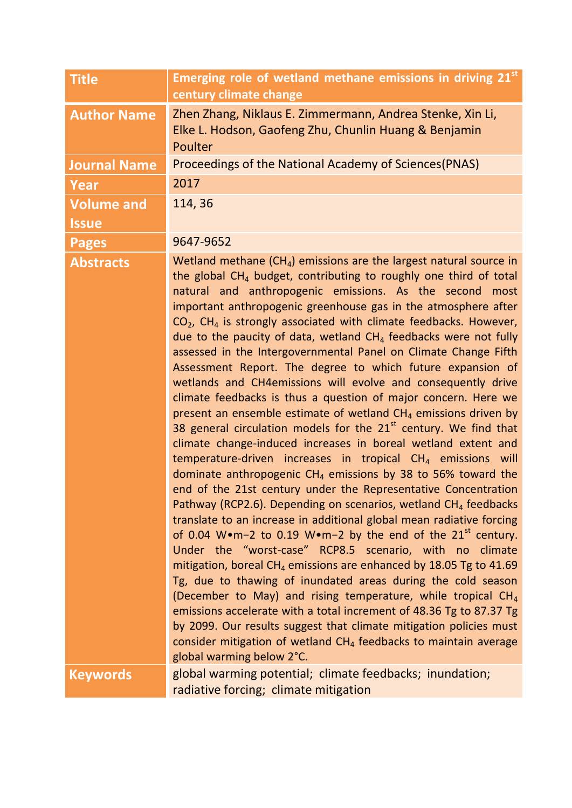| <b>Title</b>        | Emerging role of wetland methane emissions in driving 21st<br>century climate change                                                                                                                                                                                                                                                                                                                                                                                                                                                                                                                                                                                                                                                                                                                                                                                                                                                                                                                                                                                                                                                                                                                                                                                                                                                                                                                                                                                                                                                                                                                                                                                                                                                                                                                                                                                             |  |
|---------------------|----------------------------------------------------------------------------------------------------------------------------------------------------------------------------------------------------------------------------------------------------------------------------------------------------------------------------------------------------------------------------------------------------------------------------------------------------------------------------------------------------------------------------------------------------------------------------------------------------------------------------------------------------------------------------------------------------------------------------------------------------------------------------------------------------------------------------------------------------------------------------------------------------------------------------------------------------------------------------------------------------------------------------------------------------------------------------------------------------------------------------------------------------------------------------------------------------------------------------------------------------------------------------------------------------------------------------------------------------------------------------------------------------------------------------------------------------------------------------------------------------------------------------------------------------------------------------------------------------------------------------------------------------------------------------------------------------------------------------------------------------------------------------------------------------------------------------------------------------------------------------------|--|
| <b>Author Name</b>  | Zhen Zhang, Niklaus E. Zimmermann, Andrea Stenke, Xin Li,<br>Elke L. Hodson, Gaofeng Zhu, Chunlin Huang & Benjamin<br>Poulter                                                                                                                                                                                                                                                                                                                                                                                                                                                                                                                                                                                                                                                                                                                                                                                                                                                                                                                                                                                                                                                                                                                                                                                                                                                                                                                                                                                                                                                                                                                                                                                                                                                                                                                                                    |  |
| <b>Journal Name</b> | Proceedings of the National Academy of Sciences (PNAS)                                                                                                                                                                                                                                                                                                                                                                                                                                                                                                                                                                                                                                                                                                                                                                                                                                                                                                                                                                                                                                                                                                                                                                                                                                                                                                                                                                                                                                                                                                                                                                                                                                                                                                                                                                                                                           |  |
| <b>Year</b>         | 2017                                                                                                                                                                                                                                                                                                                                                                                                                                                                                                                                                                                                                                                                                                                                                                                                                                                                                                                                                                                                                                                                                                                                                                                                                                                                                                                                                                                                                                                                                                                                                                                                                                                                                                                                                                                                                                                                             |  |
| <b>Volume and</b>   | 114,36                                                                                                                                                                                                                                                                                                                                                                                                                                                                                                                                                                                                                                                                                                                                                                                                                                                                                                                                                                                                                                                                                                                                                                                                                                                                                                                                                                                                                                                                                                                                                                                                                                                                                                                                                                                                                                                                           |  |
| <b>Issue</b>        |                                                                                                                                                                                                                                                                                                                                                                                                                                                                                                                                                                                                                                                                                                                                                                                                                                                                                                                                                                                                                                                                                                                                                                                                                                                                                                                                                                                                                                                                                                                                                                                                                                                                                                                                                                                                                                                                                  |  |
| <b>Pages</b>        | 9647-9652                                                                                                                                                                                                                                                                                                                                                                                                                                                                                                                                                                                                                                                                                                                                                                                                                                                                                                                                                                                                                                                                                                                                                                                                                                                                                                                                                                                                                                                                                                                                                                                                                                                                                                                                                                                                                                                                        |  |
| <b>Abstracts</b>    | Wetland methane $(CH_4)$ emissions are the largest natural source in<br>the global $CH4$ budget, contributing to roughly one third of total<br>natural and anthropogenic emissions. As the second most<br>important anthropogenic greenhouse gas in the atmosphere after<br>$CO2$ , CH <sub>4</sub> is strongly associated with climate feedbacks. However,<br>due to the paucity of data, wetland $CH4$ feedbacks were not fully<br>assessed in the Intergovernmental Panel on Climate Change Fifth<br>Assessment Report. The degree to which future expansion of<br>wetlands and CH4emissions will evolve and consequently drive<br>climate feedbacks is thus a question of major concern. Here we<br>present an ensemble estimate of wetland $CH4$ emissions driven by<br>38 general circulation models for the $21st$ century. We find that<br>climate change-induced increases in boreal wetland extent and<br>temperature-driven increases in tropical $CH4$ emissions will<br>dominate anthropogenic $CH_4$ emissions by 38 to 56% toward the<br>end of the 21st century under the Representative Concentration<br>Pathway (RCP2.6). Depending on scenarios, wetland $CH4$ feedbacks<br>translate to an increase in additional global mean radiative forcing<br>of 0.04 W•m-2 to 0.19 W•m-2 by the end of the $21^{st}$ century.<br>Under the "worst-case" RCP8.5 scenario, with no climate<br>mitigation, boreal CH <sub>4</sub> emissions are enhanced by 18.05 Tg to 41.69<br>Tg, due to thawing of inundated areas during the cold season<br>(December to May) and rising temperature, while tropical CH <sub>4</sub><br>emissions accelerate with a total increment of 48.36 Tg to 87.37 Tg<br>by 2099. Our results suggest that climate mitigation policies must<br>consider mitigation of wetland $CH4$ feedbacks to maintain average<br>global warming below 2°C. |  |
| <b>Keywords</b>     | global warming potential; climate feedbacks; inundation;<br>radiative forcing; climate mitigation                                                                                                                                                                                                                                                                                                                                                                                                                                                                                                                                                                                                                                                                                                                                                                                                                                                                                                                                                                                                                                                                                                                                                                                                                                                                                                                                                                                                                                                                                                                                                                                                                                                                                                                                                                                |  |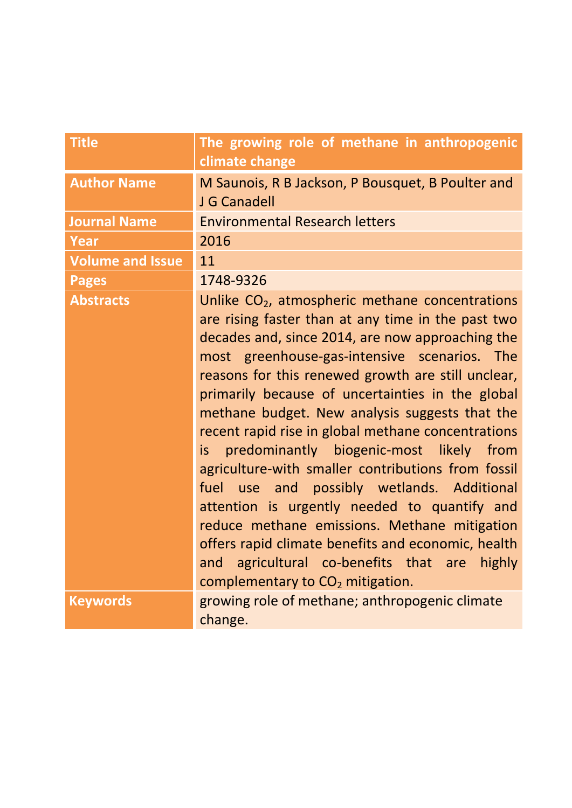| <b>Title</b>            | The growing role of methane in anthropogenic<br>climate change                                                                                                                                                                                                                                                                                                                                                                                                                                                                                                                                                                                                                                                                                                                                                                                           |
|-------------------------|----------------------------------------------------------------------------------------------------------------------------------------------------------------------------------------------------------------------------------------------------------------------------------------------------------------------------------------------------------------------------------------------------------------------------------------------------------------------------------------------------------------------------------------------------------------------------------------------------------------------------------------------------------------------------------------------------------------------------------------------------------------------------------------------------------------------------------------------------------|
| <b>Author Name</b>      | M Saunois, R B Jackson, P Bousquet, B Poulter and<br>J G Canadell                                                                                                                                                                                                                                                                                                                                                                                                                                                                                                                                                                                                                                                                                                                                                                                        |
| <b>Journal Name</b>     | <b>Environmental Research letters</b>                                                                                                                                                                                                                                                                                                                                                                                                                                                                                                                                                                                                                                                                                                                                                                                                                    |
| <b>Year</b>             | 2016                                                                                                                                                                                                                                                                                                                                                                                                                                                                                                                                                                                                                                                                                                                                                                                                                                                     |
| <b>Volume and Issue</b> | 11                                                                                                                                                                                                                                                                                                                                                                                                                                                                                                                                                                                                                                                                                                                                                                                                                                                       |
| <b>Pages</b>            | 1748-9326                                                                                                                                                                                                                                                                                                                                                                                                                                                                                                                                                                                                                                                                                                                                                                                                                                                |
| <b>Abstracts</b>        | Unlike CO <sub>2</sub> , atmospheric methane concentrations<br>are rising faster than at any time in the past two<br>decades and, since 2014, are now approaching the<br>most greenhouse-gas-intensive scenarios. The<br>reasons for this renewed growth are still unclear,<br>primarily because of uncertainties in the global<br>methane budget. New analysis suggests that the<br>recent rapid rise in global methane concentrations<br>predominantly biogenic-most likely from<br>is<br>agriculture-with smaller contributions from fossil<br>use and possibly wetlands. Additional<br>fuel<br>attention is urgently needed to quantify and<br>reduce methane emissions. Methane mitigation<br>offers rapid climate benefits and economic, health<br>and agricultural co-benefits that are<br>highly<br>complementary to CO <sub>2</sub> mitigation. |
| <b>Keywords</b>         | growing role of methane; anthropogenic climate<br>change.                                                                                                                                                                                                                                                                                                                                                                                                                                                                                                                                                                                                                                                                                                                                                                                                |